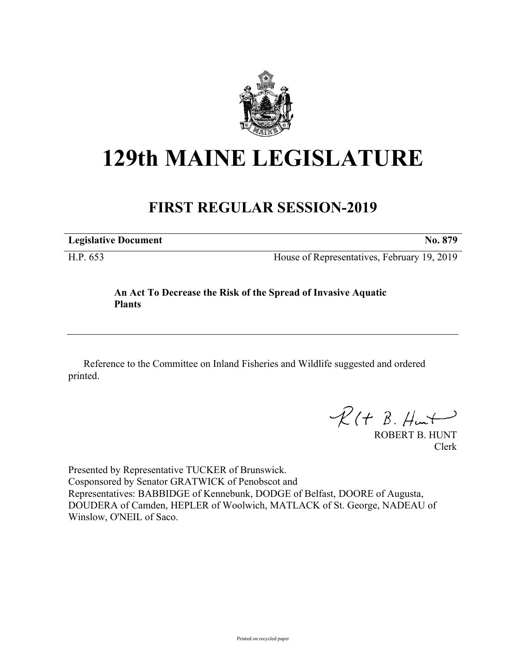

## **129th MAINE LEGISLATURE**

## **FIRST REGULAR SESSION-2019**

**Legislative Document No. 879**

H.P. 653 House of Representatives, February 19, 2019

## **An Act To Decrease the Risk of the Spread of Invasive Aquatic Plants**

Reference to the Committee on Inland Fisheries and Wildlife suggested and ordered printed.

 $R(H B. H<sub>un</sub>+)$ 

ROBERT B. HUNT Clerk

Presented by Representative TUCKER of Brunswick. Cosponsored by Senator GRATWICK of Penobscot and Representatives: BABBIDGE of Kennebunk, DODGE of Belfast, DOORE of Augusta, DOUDERA of Camden, HEPLER of Woolwich, MATLACK of St. George, NADEAU of Winslow, O'NEIL of Saco.